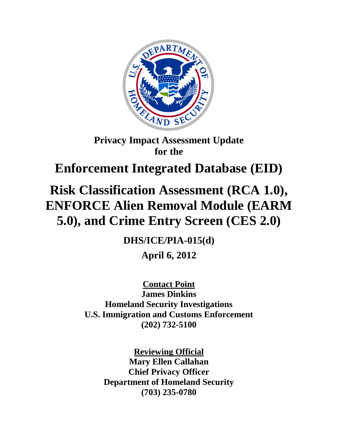

# **Privacy Impact Assessment Update for the**

# **Enforcement Integrated Database (EID)**

# **Risk Classification Assessment (RCA 1.0), ENFORCE Alien Removal Module (EARM 5.0), and Crime Entry Screen (CES 2.0)**

**DHS/ICE/PIA-015(d) April 6, 2012**

**Contact Point James Dinkins Homeland Security Investigations U.S. Immigration and Customs Enforcement (202) 732-5100**

> **Reviewing Official Mary Ellen Callahan Chief Privacy Officer Department of Homeland Security (703) 235-0780**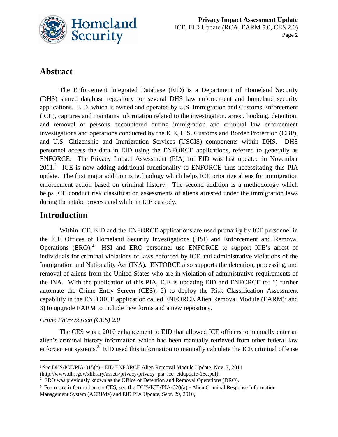

## **Abstract**

The Enforcement Integrated Database (EID) is a Department of Homeland Security (DHS) shared database repository for several DHS law enforcement and homeland security applications. EID, which is owned and operated by U.S. Immigration and Customs Enforcement (ICE), captures and maintains information related to the investigation, arrest, booking, detention, and removal of persons encountered during immigration and criminal law enforcement investigations and operations conducted by the ICE, U.S. Customs and Border Protection (CBP), and U.S. Citizenship and Immigration Services (USCIS) components within DHS. DHS personnel access the data in EID using the ENFORCE applications, referred to generally as ENFORCE. The Privacy Impact Assessment (PIA) for EID was last updated in November  $2011$ .<sup>1</sup> ICE is now adding additional functionality to ENFORCE thus necessitating this PIA update. The first major addition is technology which helps ICE prioritize aliens for immigration enforcement action based on criminal history. The second addition is a methodology which helps ICE conduct risk classification assessments of aliens arrested under the immigration laws during the intake process and while in ICE custody.

## **Introduction**

Within ICE, EID and the ENFORCE applications are used primarily by ICE personnel in the ICE Offices of Homeland Security Investigations (HSI) and Enforcement and Removal Operations  $(ERO)$ . HSI and ERO personnel use ENFORCE to support ICE's arrest of individuals for criminal violations of laws enforced by ICE and administrative violations of the Immigration and Nationality Act (INA). ENFORCE also supports the detention, processing, and removal of aliens from the United States who are in violation of administrative requirements of the INA. With the publication of this PIA, ICE is updating EID and ENFORCE to: 1) further automate the Crime Entry Screen (CES); 2) to deploy the Risk Classification Assessment capability in the ENFORCE application called ENFORCE Alien Removal Module (EARM); and 3) to upgrade EARM to include new forms and a new repository.

#### *Crime Entry Screen (CES) 2.0*

 $\overline{a}$ 

The CES was a 2010 enhancement to EID that allowed ICE officers to manually enter an alien's criminal history information which had been manually retrieved from other federal law enforcement systems.<sup>3</sup> EID used this information to manually calculate the ICE criminal offense

<sup>1</sup> *See* DHS/ICE/PIA-015(c) *-* EID ENFORCE Alien Removal Module Update, Nov. 7, 2011

<sup>(</sup>http://www.dhs.gov/xlibrary/assets/privacy/privacy\_pia\_ice\_eidupdate-15c.pdf).

 $2 \text{ ERO}$  was previously known as the Office of Detention and Removal Operations (DRO).

<sup>&</sup>lt;sup>3</sup> For more information on CES, see the DHS/ICE/PIA-020(a) - Alien Criminal Response Information Management System (ACRIMe) and EID PIA Update, Sept. 29, 2010,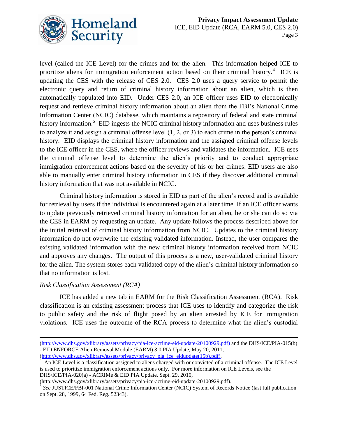

level (called the ICE Level) for the crimes and for the alien. This information helped ICE to prioritize aliens for immigration enforcement action based on their criminal history.<sup>4</sup> ICE is updating the CES with the release of CES 2.0. CES 2.0 uses a query service to permit the electronic query and return of criminal history information about an alien, which is then automatically populated into EID. Under CES 2.0, an ICE officer uses EID to electronically request and retrieve criminal history information about an alien from the FBI's National Crime Information Center (NCIC) database, which maintains a repository of federal and state criminal history information.<sup>5</sup> EID ingests the NCIC criminal history information and uses business rules to analyze it and assign a criminal offense level (1, 2, or 3) to each crime in the person's criminal history. EID displays the criminal history information and the assigned criminal offense levels to the ICE officer in the CES, where the officer reviews and validates the information. ICE uses the criminal offense level to determine the alien's priority and to conduct appropriate immigration enforcement actions based on the severity of his or her crimes. EID users are also able to manually enter criminal history information in CES if they discover additional criminal history information that was not available in NCIC.

Criminal history information is stored in EID as part of the alien's record and is available for retrieval by users if the individual is encountered again at a later time. If an ICE officer wants to update previously retrieved criminal history information for an alien, he or she can do so via the CES in EARM by requesting an update. Any update follows the process described above for the initial retrieval of criminal history information from NCIC. Updates to the criminal history information do not overwrite the existing validated information. Instead, the user compares the existing validated information with the new criminal history information received from NCIC and approves any changes. The output of this process is a new, user-validated criminal history for the alien. The system stores each validated copy of the alien's criminal history information so that no information is lost.

#### *Risk Classification Assessment (RCA)*

ICE has added a new tab in EARM for the Risk Classification Assessment (RCA). Risk classification is an existing assessment process that ICE uses to identify and categorize the risk to public safety and the risk of flight posed by an alien arrested by ICE for immigration violations. ICE uses the outcome of the RCA process to determine what the alien's custodial

 $\overline{a}$ [\(http://www.dhs.gov/xlibrary/assets/privacy/pia-ice-acrime-eid-update-20100929.pdf\)](http://www.dhs.gov/xlibrary/assets/privacy/pia-ice-acrime-eid-update-20100929.pdf) and the DHS/ICE/PIA-015(b) - EID ENFORCE Alien Removal Module (EARM) 3.0 PIA Update, May 20, 2011,

[<sup>\(</sup>http://www.dhs.gov/xlibrary/assets/privacy/privacy\\_pia\\_ice\\_eidupdate\(15b\).pdf\)](http://www.dhs.gov/xlibrary/assets/privacy/privacy_pia_ice_eidupdate(15b).pdf).

<sup>4</sup> An ICE Level is a classification assigned to aliens charged with or convicted of a criminal offense. The ICE Level is used to prioritize immigration enforcement actions only. For more information on ICE Levels, see the DHS/ICE/PIA-020(a) - ACRIMe & EID PIA Update, Sept. 29, 2010,

<sup>(</sup>http://www.dhs.gov/xlibrary/assets/privacy/pia-ice-acrime-eid-update-20100929.pdf). 5 *See* JUSTICE/FBI-001 National Crime Information Center (NCIC) System of Records Notice (last full publication on Sept. 28, 1999, 64 Fed. Reg. 52343).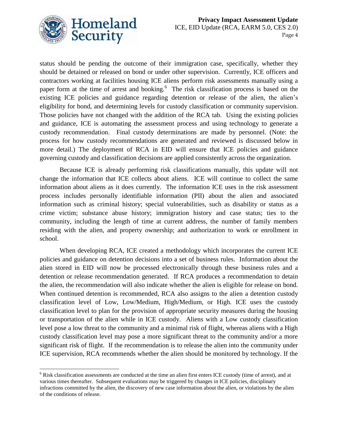

 $\overline{a}$ 

status should be pending the outcome of their immigration case, specifically, whether they should be detained or released on bond or under other supervision. Currently, ICE officers and contractors working at facilities housing ICE aliens perform risk assessments manually using a paper form at the time of arrest and booking.<sup>6</sup> The risk classification process is based on the existing ICE policies and guidance regarding detention or release of the alien, the alien's eligibility for bond, and determining levels for custody classification or community supervision. Those policies have not changed with the addition of the RCA tab. Using the existing policies and guidance, ICE is automating the assessment process and using technology to generate a custody recommendation. Final custody determinations are made by personnel. (Note: the process for how custody recommendations are generated and reviewed is discussed below in more detail.) The deployment of RCA in EID will ensure that ICE policies and guidance governing custody and classification decisions are applied consistently across the organization.

Because ICE is already performing risk classifications manually, this update will not change the information that ICE collects about aliens. ICE will continue to collect the same information about aliens as it does currently. The information ICE uses in the risk assessment process includes personally identifiable information (PII) about the alien and associated information such as criminal history; special vulnerabilities, such as disability or status as a crime victim; substance abuse history; immigration history and case status; ties to the community, including the length of time at current address, the number of family members residing with the alien, and property ownership; and authorization to work or enrollment in school.

When developing RCA, ICE created a methodology which incorporates the current ICE policies and guidance on detention decisions into a set of business rules. Information about the alien stored in EID will now be processed electronically through these business rules and a detention or release recommendation generated. If RCA produces a recommendation to detain the alien, the recommendation will also indicate whether the alien is eligible for release on bond. When continued detention is recommended, RCA also assigns to the alien a detention custody classification level of Low, Low/Medium, High/Medium, or High. ICE uses the custody classification level to plan for the provision of appropriate security measures during the housing or transportation of the alien while in ICE custody. Aliens with a Low custody classification level pose a low threat to the community and a minimal risk of flight, whereas aliens with a High custody classification level may pose a more significant threat to the community and/or a more significant risk of flight. If the recommendation is to release the alien into the community under ICE supervision, RCA recommends whether the alien should be monitored by technology. If the

 $6$  Risk classification assessments are conducted at the time an alien first enters ICE custody (time of arrest), and at various times thereafter. Subsequent evaluations may be triggered by changes in ICE policies, disciplinary infractions committed by the alien, the discovery of new case information about the alien, or violations by the alien of the conditions of release.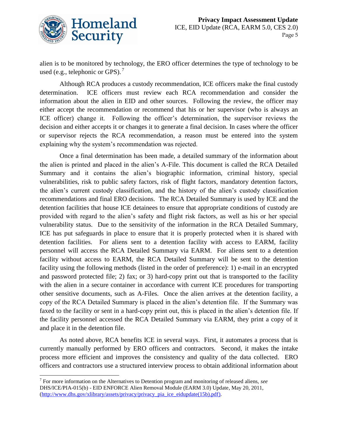

alien is to be monitored by technology, the ERO officer determines the type of technology to be used (e.g., telephonic or GPS).<sup>7</sup>

Although RCA produces a custody recommendation, ICE officers make the final custody determination. ICE officers must review each RCA recommendation and consider the information about the alien in EID and other sources. Following the review, the officer may either accept the recommendation or recommend that his or her supervisor (who is always an ICE officer) change it. Following the officer's determination, the supervisor reviews the decision and either accepts it or changes it to generate a final decision. In cases where the officer or supervisor rejects the RCA recommendation, a reason must be entered into the system explaining why the system's recommendation was rejected.

Once a final determination has been made, a detailed summary of the information about the alien is printed and placed in the alien's A-File. This document is called the RCA Detailed Summary and it contains the alien's biographic information, criminal history, special vulnerabilities, risk to public safety factors, risk of flight factors, mandatory detention factors, the alien's current custody classification, and the history of the alien's custody classification recommendations and final ERO decisions. The RCA Detailed Summary is used by ICE and the detention facilities that house ICE detainees to ensure that appropriate conditions of custody are provided with regard to the alien's safety and flight risk factors, as well as his or her special vulnerability status. Due to the sensitivity of the information in the RCA Detailed Summary, ICE has put safeguards in place to ensure that it is properly protected when it is shared with detention facilities. For aliens sent to a detention facility with access to EARM, facility personnel will access the RCA Detailed Summary via EARM. For aliens sent to a detention facility without access to EARM, the RCA Detailed Summary will be sent to the detention facility using the following methods (listed in the order of preference): 1) e-mail in an encrypted and password protected file; 2) fax; or 3) hard-copy print out that is transported to the facility with the alien in a secure container in accordance with current ICE procedures for transporting other sensitive documents, such as A-Files. Once the alien arrives at the detention facility, a copy of the RCA Detailed Summary is placed in the alien's detention file. If the Summary was faxed to the facility or sent in a hard-copy print out, this is placed in the alien's detention file. If the facility personnel accessed the RCA Detailed Summary via EARM, they print a copy of it and place it in the detention file.

As noted above, RCA benefits ICE in several ways. First, it automates a process that is currently manually performed by ERO officers and contractors. Second, it makes the intake process more efficient and improves the consistency and quality of the data collected. ERO officers and contractors use a structured interview process to obtain additional information about

 $\overline{a}$ 7 For more information on the Alternatives to Detention program and monitoring of released aliens, *see*  DHS/ICE/PIA-015(b) - EID ENFORCE Alien Removal Module (EARM 3.0) Update, May 20, 2011, [\(http://www.dhs.gov/xlibrary/assets/privacy/privacy\\_pia\\_ice\\_eidupdate\(15b\).pdf\)](http://www.dhs.gov/xlibrary/assets/privacy/privacy_pia_ice_eidupdate(15b).pdf).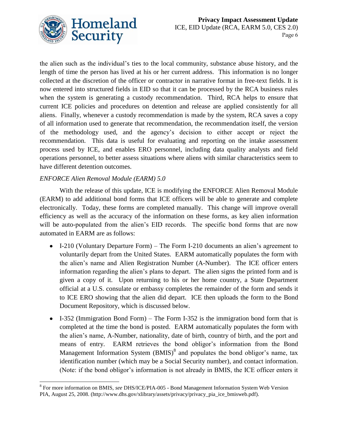

the alien such as the individual's ties to the local community, substance abuse history, and the length of time the person has lived at his or her current address. This information is no longer collected at the discretion of the officer or contractor in narrative format in free-text fields. It is now entered into structured fields in EID so that it can be processed by the RCA business rules when the system is generating a custody recommendation. Third, RCA helps to ensure that current ICE policies and procedures on detention and release are applied consistently for all aliens. Finally, whenever a custody recommendation is made by the system, RCA saves a copy of all information used to generate that recommendation, the recommendation itself, the version of the methodology used, and the agency's decision to either accept or reject the recommendation. This data is useful for evaluating and reporting on the intake assessment process used by ICE, and enables ERO personnel, including data quality analysts and field operations personnel, to better assess situations where aliens with similar characteristics seem to have different detention outcomes.

#### *ENFORCE Alien Removal Module (EARM) 5.0*

With the release of this update, ICE is modifying the ENFORCE Alien Removal Module (EARM) to add additional bond forms that ICE officers will be able to generate and complete electronically. Today, these forms are completed manually. This change will improve overall efficiency as well as the accuracy of the information on these forms, as key alien information will be auto-populated from the alien's EID records. The specific bond forms that are now automated in EARM are as follows:

- I-210 (Voluntary Departure Form) The Form I-210 documents an alien's agreement to voluntarily depart from the United States. EARM automatically populates the form with the alien's name and Alien Registration Number (A-Number). The ICE officer enters information regarding the alien's plans to depart. The alien signs the printed form and is given a copy of it. Upon returning to his or her home country, a State Department official at a U.S. consulate or embassy completes the remainder of the form and sends it to ICE ERO showing that the alien did depart. ICE then uploads the form to the Bond Document Repository, which is discussed below.
- I-352 (Immigration Bond Form) The Form I-352 is the immigration bond form that is completed at the time the bond is posted. EARM automatically populates the form with the alien's name, A-Number, nationality, date of birth, country of birth, and the port and means of entry. EARM retrieves the bond obligor's information from the Bond Management Information System  $(BMIS)^8$  and populates the bond obligor's name, tax identification number (which may be a Social Security number), and contact information. (Note: if the bond obligor's information is not already in BMIS, the ICE officer enters it

 8 For more information on BMIS, *see* DHS/ICE/PIA-005 - Bond Management Information System Web Version PIA, August 25, 2008. (http://www.dhs.gov/xlibrary/assets/privacy/privacy\_pia\_ice\_bmisweb.pdf).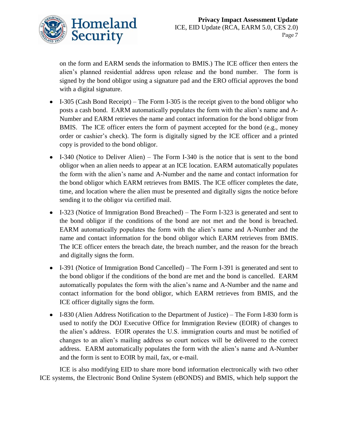

on the form and EARM sends the information to BMIS.) The ICE officer then enters the alien's planned residential address upon release and the bond number. The form is signed by the bond obligor using a signature pad and the ERO official approves the bond with a digital signature.

- I-305 (Cash Bond Receipt) The Form I-305 is the receipt given to the bond obligor who posts a cash bond. EARM automatically populates the form with the alien's name and A-Number and EARM retrieves the name and contact information for the bond obligor from BMIS. The ICE officer enters the form of payment accepted for the bond (e.g., money order or cashier's check). The form is digitally signed by the ICE officer and a printed copy is provided to the bond obligor.
- I-340 (Notice to Deliver Alien) The Form I-340 is the notice that is sent to the bond obligor when an alien needs to appear at an ICE location. EARM automatically populates the form with the alien's name and A-Number and the name and contact information for the bond obligor which EARM retrieves from BMIS. The ICE officer completes the date, time, and location where the alien must be presented and digitally signs the notice before sending it to the obligor via certified mail.
- I-323 (Notice of Immigration Bond Breached) The Form I-323 is generated and sent to the bond obligor if the conditions of the bond are not met and the bond is breached. EARM automatically populates the form with the alien's name and A-Number and the name and contact information for the bond obligor which EARM retrieves from BMIS. The ICE officer enters the breach date, the breach number, and the reason for the breach and digitally signs the form.
- I-391 (Notice of Immigration Bond Cancelled) The Form I-391 is generated and sent to the bond obligor if the conditions of the bond are met and the bond is cancelled. EARM automatically populates the form with the alien's name and A-Number and the name and contact information for the bond obligor, which EARM retrieves from BMIS, and the ICE officer digitally signs the form.
- I-830 (Alien Address Notification to the Department of Justice) The Form I-830 form is used to notify the DOJ Executive Office for Immigration Review (EOIR) of changes to the alien's address. EOIR operates the U.S. immigration courts and must be notified of changes to an alien's mailing address so court notices will be delivered to the correct address. EARM automatically populates the form with the alien's name and A-Number and the form is sent to EOIR by mail, fax, or e-mail.

ICE is also modifying EID to share more bond information electronically with two other ICE systems, the Electronic Bond Online System (eBONDS) and BMIS, which help support the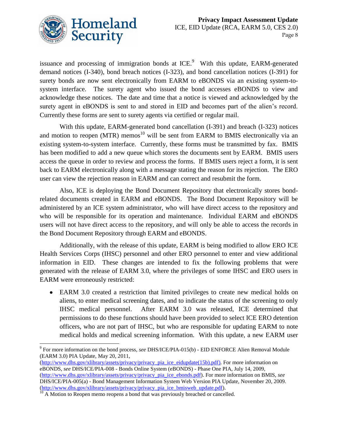

issuance and processing of immigration bonds at ICE. $9$  With this update, EARM-generated demand notices (I-340), bond breach notices (I-323), and bond cancellation notices (I-391) for surety bonds are now sent electronically from EARM to eBONDS via an existing system-tosystem interface. The surety agent who issued the bond accesses eBONDS to view and acknowledge these notices. The date and time that a notice is viewed and acknowledged by the surety agent in eBONDS is sent to and stored in EID and becomes part of the alien's record. Currently these forms are sent to surety agents via certified or regular mail.

With this update, EARM-generated bond cancellation (I-391) and breach (I-323) notices and motion to reopen  $(MTR)$  memos<sup>10</sup> will be sent from EARM to BMIS electronically via an existing system-to-system interface. Currently, these forms must be transmitted by fax. BMIS has been modified to add a new queue which stores the documents sent by EARM. BMIS users access the queue in order to review and process the forms. If BMIS users reject a form, it is sent back to EARM electronically along with a message stating the reason for its rejection. The ERO user can view the rejection reason in EARM and can correct and resubmit the form.

Also, ICE is deploying the Bond Document Repository that electronically stores bondrelated documents created in EARM and eBONDS. The Bond Document Repository will be administered by an ICE system administrator, who will have direct access to the repository and who will be responsible for its operation and maintenance. Individual EARM and eBONDS users will not have direct access to the repository, and will only be able to access the records in the Bond Document Repository through EARM and eBONDS.

Additionally, with the release of this update, EARM is being modified to allow ERO ICE Health Services Corps (IHSC) personnel and other ERO personnel to enter and view additional information in EID. These changes are intended to fix the following problems that were generated with the release of EARM 3.0, where the privileges of some IHSC and ERO users in EARM were erroneously restricted:

EARM 3.0 created a restriction that limited privileges to create new medical holds on aliens, to enter medical screening dates, and to indicate the status of the screening to only IHSC medical personnel. After EARM 3.0 was released, ICE determined that permissions to do these functions should have been provided to select ICE ERO detention officers, who are not part of IHSC, but who are responsible for updating EARM to note medical holds and medical screening information. With this update, a new EARM user

[\(http://www.dhs.gov/xlibrary/assets/privacy/privacy\\_pia\\_ice\\_eidupdate\(15b\).pdf\)](http://www.dhs.gov/xlibrary/assets/privacy/privacy_pia_ice_eidupdate(15b).pdf). For more information on eBONDS, *see* DHS/ICE/PIA-008 - Bonds Online System (eBONDS) - Phase One PIA, July 14, 2009, [\(http://www.dhs.gov/xlibrary/assets/privacy/privacy\\_pia\\_ice\\_ebonds.pdf\)](http://www.dhs.gov/xlibrary/assets/privacy/privacy_pia_ice_ebonds.pdf). For more information on BMIS, *see*  DHS/ICE/PIA-005(a) - Bond Management Information System Web Version PIA Update, November 20, 2009. [\(http://www.dhs.gov/xlibrary/assets/privacy/privacy\\_pia\\_ice\\_bmisweb\\_update.pdf\)](http://www.dhs.gov/xlibrary/assets/privacy/privacy_pia_ice_bmisweb_update.pdf).

 $\overline{a}$ 9 For more information on the bond process, *see* DHS/ICE/PIA-015(b) *-* EID ENFORCE Alien Removal Module (EARM 3.0) PIA Update, May 20, 2011,

 $10$  A Motion to Reopen memo reopens a bond that was previously breached or cancelled.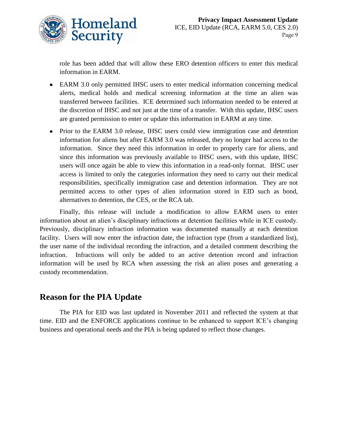

role has been added that will allow these ERO detention officers to enter this medical information in EARM.

- EARM 3.0 only permitted IHSC users to enter medical information concerning medical alerts, medical holds and medical screening information at the time an alien was transferred between facilities. ICE determined such information needed to be entered at the discretion of IHSC and not just at the time of a transfer. With this update, IHSC users are granted permission to enter or update this information in EARM at any time.
- Prior to the EARM 3.0 release, IHSC users could view immigration case and detention information for aliens but after EARM 3.0 was released, they no longer had access to the information. Since they need this information in order to properly care for aliens, and since this information was previously available to IHSC users, with this update, IHSC users will once again be able to view this information in a read-only format. IHSC user access is limited to only the categories information they need to carry out their medical responsibilities, specifically immigration case and detention information. They are not permitted access to other types of alien information stored in EID such as bond, alternatives to detention, the CES, or the RCA tab.

Finally, this release will include a modification to allow EARM users to enter information about an alien's disciplinary infractions at detention facilities while in ICE custody. Previously, disciplinary infraction information was documented manually at each detention facility. Users will now enter the infraction date, the infraction type (from a standardized list), the user name of the individual recording the infraction, and a detailed comment describing the infraction. Infractions will only be added to an active detention record and infraction information will be used by RCA when assessing the risk an alien poses and generating a custody recommendation.

### **Reason for the PIA Update**

The PIA for EID was last updated in November 2011 and reflected the system at that time. EID and the ENFORCE applications continue to be enhanced to support ICE's changing business and operational needs and the PIA is being updated to reflect those changes.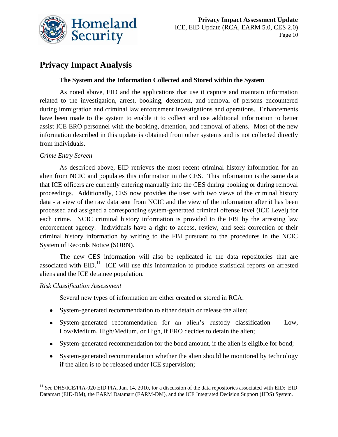

# **Privacy Impact Analysis**

#### **The System and the Information Collected and Stored within the System**

As noted above, EID and the applications that use it capture and maintain information related to the investigation, arrest, booking, detention, and removal of persons encountered during immigration and criminal law enforcement investigations and operations. Enhancements have been made to the system to enable it to collect and use additional information to better assist ICE ERO personnel with the booking, detention, and removal of aliens. Most of the new information described in this update is obtained from other systems and is not collected directly from individuals.

#### *Crime Entry Screen*

As described above, EID retrieves the most recent criminal history information for an alien from NCIC and populates this information in the CES. This information is the same data that ICE officers are currently entering manually into the CES during booking or during removal proceedings. Additionally, CES now provides the user with two views of the criminal history data - a view of the raw data sent from NCIC and the view of the information after it has been processed and assigned a corresponding system-generated criminal offense level (ICE Level) for each crime. NCIC criminal history information is provided to the FBI by the arresting law enforcement agency. Individuals have a right to access, review, and seek correction of their criminal history information by writing to the FBI pursuant to the procedures in the NCIC System of Records Notice (SORN).

The new CES information will also be replicated in the data repositories that are associated with  $EID$ .<sup>11</sup> ICE will use this information to produce statistical reports on arrested aliens and the ICE detainee population.

#### *Risk Classification Assessment*

Several new types of information are either created or stored in RCA:

- System-generated recommendation to either detain or release the alien;
- System-generated recommendation for an alien's custody classification Low, Low/Medium, High/Medium, or High, if ERO decides to detain the alien;
- System-generated recommendation for the bond amount, if the alien is eligible for bond;
- System-generated recommendation whether the alien should be monitored by technology if the alien is to be released under ICE supervision;

 $\overline{a}$ <sup>11</sup> See DHS/ICE/PIA-020 EID PIA, Jan. 14, 2010, for a discussion of the data repositories associated with EID: EID Datamart (EID-DM), the EARM Datamart (EARM-DM), and the ICE Integrated Decision Support (IIDS) System.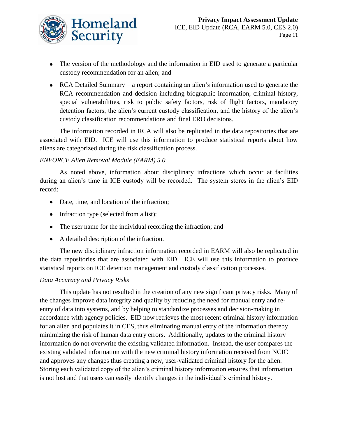

- The version of the methodology and the information in EID used to generate a particular custody recommendation for an alien; and
- RCA Detailed Summary a report containing an alien's information used to generate the RCA recommendation and decision including biographic information, criminal history, special vulnerabilities, risk to public safety factors, risk of flight factors, mandatory detention factors, the alien's current custody classification, and the history of the alien's custody classification recommendations and final ERO decisions.

The information recorded in RCA will also be replicated in the data repositories that are associated with EID. ICE will use this information to produce statistical reports about how aliens are categorized during the risk classification process.

#### *ENFORCE Alien Removal Module (EARM) 5.0*

As noted above, information about disciplinary infractions which occur at facilities during an alien's time in ICE custody will be recorded. The system stores in the alien's EID record:

- Date, time, and location of the infraction;
- Infraction type (selected from a list);
- The user name for the individual recording the infraction; and
- A detailed description of the infraction.

The new disciplinary infraction information recorded in EARM will also be replicated in the data repositories that are associated with EID. ICE will use this information to produce statistical reports on ICE detention management and custody classification processes.

#### *Data Accuracy and Privacy Risks*

This update has not resulted in the creation of any new significant privacy risks. Many of the changes improve data integrity and quality by reducing the need for manual entry and reentry of data into systems, and by helping to standardize processes and decision-making in accordance with agency policies. EID now retrieves the most recent criminal history information for an alien and populates it in CES, thus eliminating manual entry of the information thereby minimizing the risk of human data entry errors. Additionally, updates to the criminal history information do not overwrite the existing validated information. Instead, the user compares the existing validated information with the new criminal history information received from NCIC and approves any changes thus creating a new, user-validated criminal history for the alien. Storing each validated copy of the alien's criminal history information ensures that information is not lost and that users can easily identify changes in the individual's criminal history.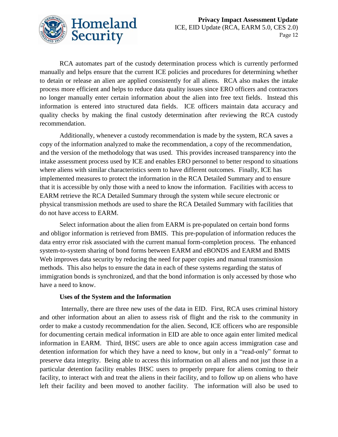

RCA automates part of the custody determination process which is currently performed manually and helps ensure that the current ICE policies and procedures for determining whether to detain or release an alien are applied consistently for all aliens. RCA also makes the intake process more efficient and helps to reduce data quality issues since ERO officers and contractors no longer manually enter certain information about the alien into free text fields. Instead this information is entered into structured data fields. ICE officers maintain data accuracy and quality checks by making the final custody determination after reviewing the RCA custody recommendation.

Additionally, whenever a custody recommendation is made by the system, RCA saves a copy of the information analyzed to make the recommendation, a copy of the recommendation, and the version of the methodology that was used. This provides increased transparency into the intake assessment process used by ICE and enables ERO personnel to better respond to situations where aliens with similar characteristics seem to have different outcomes. Finally, ICE has implemented measures to protect the information in the RCA Detailed Summary and to ensure that it is accessible by only those with a need to know the information. Facilities with access to EARM retrieve the RCA Detailed Summary through the system while secure electronic or physical transmission methods are used to share the RCA Detailed Summary with facilities that do not have access to EARM.

Select information about the alien from EARM is pre-populated on certain bond forms and obligor information is retrieved from BMIS. This pre-population of information reduces the data entry error risk associated with the current manual form-completion process. The enhanced system-to-system sharing of bond forms between EARM and eBONDS and EARM and BMIS Web improves data security by reducing the need for paper copies and manual transmission methods. This also helps to ensure the data in each of these systems regarding the status of immigration bonds is synchronized, and that the bond information is only accessed by those who have a need to know.

#### **Uses of the System and the Information**

Internally, there are three new uses of the data in EID. First, RCA uses criminal history and other information about an alien to assess risk of flight and the risk to the community in order to make a custody recommendation for the alien. Second, ICE officers who are responsible for documenting certain medical information in EID are able to once again enter limited medical information in EARM. Third, IHSC users are able to once again access immigration case and detention information for which they have a need to know, but only in a "read-only" format to preserve data integrity. Being able to access this information on all aliens and not just those in a particular detention facility enables IHSC users to properly prepare for aliens coming to their facility, to interact with and treat the aliens in their facility, and to follow up on aliens who have left their facility and been moved to another facility. The information will also be used to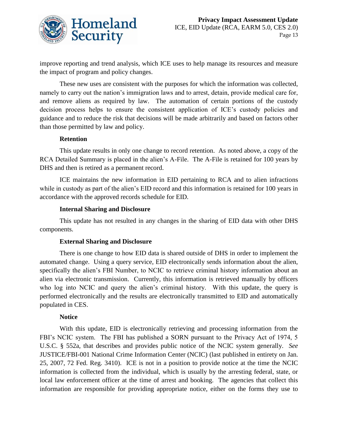

improve reporting and trend analysis, which ICE uses to help manage its resources and measure the impact of program and policy changes.

These new uses are consistent with the purposes for which the information was collected, namely to carry out the nation's immigration laws and to arrest, detain, provide medical care for, and remove aliens as required by law. The automation of certain portions of the custody decision process helps to ensure the consistent application of ICE's custody policies and guidance and to reduce the risk that decisions will be made arbitrarily and based on factors other than those permitted by law and policy.

#### **Retention**

This update results in only one change to record retention. As noted above, a copy of the RCA Detailed Summary is placed in the alien's A-File. The A-File is retained for 100 years by DHS and then is retired as a permanent record.

ICE maintains the new information in EID pertaining to RCA and to alien infractions while in custody as part of the alien's EID record and this information is retained for 100 years in accordance with the approved records schedule for EID.

#### **Internal Sharing and Disclosure**

This update has not resulted in any changes in the sharing of EID data with other DHS components.

#### **External Sharing and Disclosure**

There is one change to how EID data is shared outside of DHS in order to implement the automated change. Using a query service, EID electronically sends information about the alien, specifically the alien's FBI Number, to NCIC to retrieve criminal history information about an alien via electronic transmission. Currently, this information is retrieved manually by officers who log into NCIC and query the alien's criminal history. With this update, the query is performed electronically and the results are electronically transmitted to EID and automatically populated in CES.

#### **Notice**

With this update, EID is electronically retrieving and processing information from the FBI's NCIC system. The FBI has published a SORN pursuant to the Privacy Act of 1974, 5 U.S.C. § 552a, that describes and provides public notice of the NCIC system generally. *See* JUSTICE/FBI-001 National Crime Information Center (NCIC) (last published in entirety on Jan. 25, 2007, 72 Fed. Reg. 3410). ICE is not in a position to provide notice at the time the NCIC information is collected from the individual, which is usually by the arresting federal, state, or local law enforcement officer at the time of arrest and booking. The agencies that collect this information are responsible for providing appropriate notice, either on the forms they use to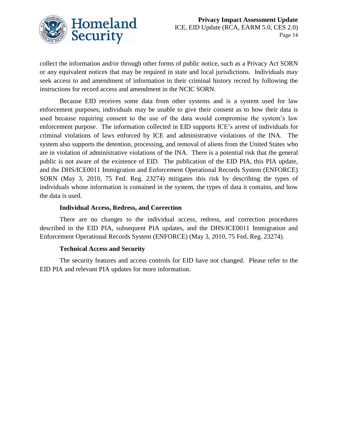

collect the information and/or through other forms of public notice, such as a Privacy Act SORN or any equivalent notices that may be required in state and local jurisdictions. Individuals may seek access to and amendment of information in their criminal history record by following the instructions for record access and amendment in the NCIC SORN.

Because EID receives some data from other systems and is a system used for law enforcement purposes, individuals may be unable to give their consent as to how their data is used because requiring consent to the use of the data would compromise the system's law enforcement purpose. The information collected in EID supports ICE's arrest of individuals for criminal violations of laws enforced by ICE and administrative violations of the INA. The system also supports the detention, processing, and removal of aliens from the United States who are in violation of administrative violations of the INA. There is a potential risk that the general public is not aware of the existence of EID. The publication of the EID PIA, this PIA update, and the DHS/ICE0011 Immigration and Enforcement Operational Records System (ENFORCE) SORN (May 3, 2010, 75 Fed. Reg. 23274) mitigates this risk by describing the types of individuals whose information is contained in the system, the types of data it contains, and how the data is used.

#### **Individual Access, Redress, and Correction**

There are no changes to the individual access, redress, and correction procedures described in the EID PIA, subsequent PIA updates, and the DHS/ICE0011 Immigration and Enforcement Operational Records System (ENFORCE) (May 3, 2010, 75 Fed. Reg. 23274).

#### **Technical Access and Security**

The security features and access controls for EID have not changed. Please refer to the EID PIA and relevant PIA updates for more information.